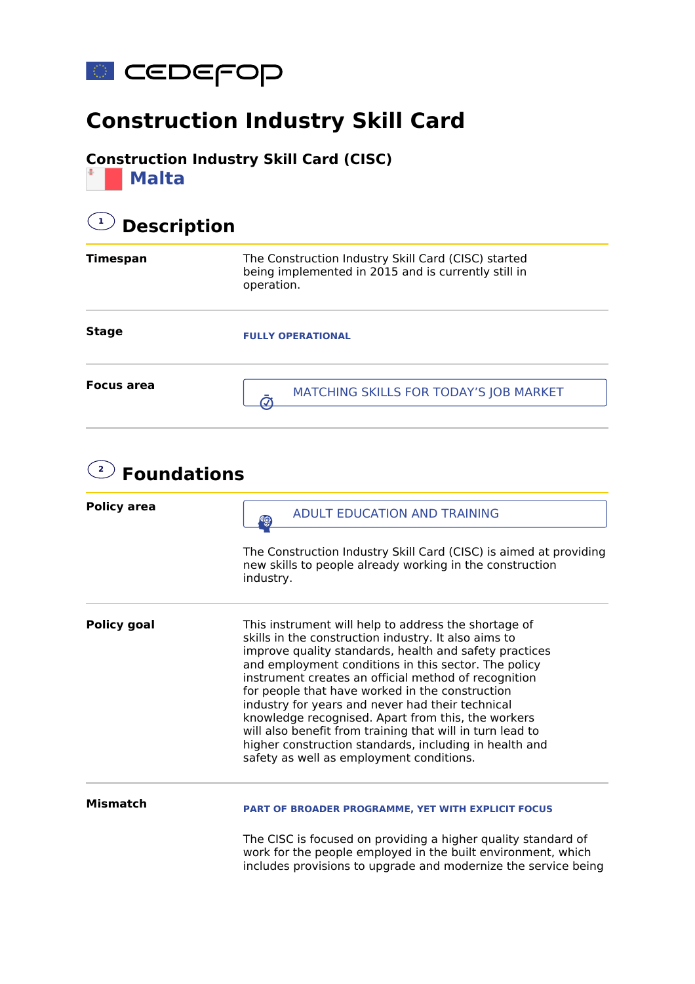

## **Construction Industry Skill Card**

#### **Construction Industry Skill Card (CISC)**

**Malta**

### **1 Description**

| <b>Timespan</b>   | The Construction Industry Skill Card (CISC) started<br>being implemented in 2015 and is currently still in<br>operation. |
|-------------------|--------------------------------------------------------------------------------------------------------------------------|
| <b>Stage</b>      | <b>FULLY OPERATIONAL</b>                                                                                                 |
| <b>Focus area</b> | MATCHING SKILLS FOR TODAY'S JOB MARKET                                                                                   |

| $2^{\circ}$<br><b>Foundations</b> |                                                                                                                                                                                                                                                                                                                                                                                                                                                                                                                                                                                                                        |  |
|-----------------------------------|------------------------------------------------------------------------------------------------------------------------------------------------------------------------------------------------------------------------------------------------------------------------------------------------------------------------------------------------------------------------------------------------------------------------------------------------------------------------------------------------------------------------------------------------------------------------------------------------------------------------|--|
| <b>Policy area</b>                | <b>ADULT EDUCATION AND TRAINING</b>                                                                                                                                                                                                                                                                                                                                                                                                                                                                                                                                                                                    |  |
|                                   | The Construction Industry Skill Card (CISC) is aimed at providing<br>new skills to people already working in the construction<br>industry.                                                                                                                                                                                                                                                                                                                                                                                                                                                                             |  |
| <b>Policy goal</b>                | This instrument will help to address the shortage of<br>skills in the construction industry. It also aims to<br>improve quality standards, health and safety practices<br>and employment conditions in this sector. The policy<br>instrument creates an official method of recognition<br>for people that have worked in the construction<br>industry for years and never had their technical<br>knowledge recognised. Apart from this, the workers<br>will also benefit from training that will in turn lead to<br>higher construction standards, including in health and<br>safety as well as employment conditions. |  |
| <b>Mismatch</b>                   | <b>PART OF BROADER PROGRAMME, YET WITH EXPLICIT FOCUS</b>                                                                                                                                                                                                                                                                                                                                                                                                                                                                                                                                                              |  |
|                                   | The CISC is focused on providing a higher quality standard of<br>work for the people employed in the built environment, which<br>includes provisions to upgrade and modernize the service being                                                                                                                                                                                                                                                                                                                                                                                                                        |  |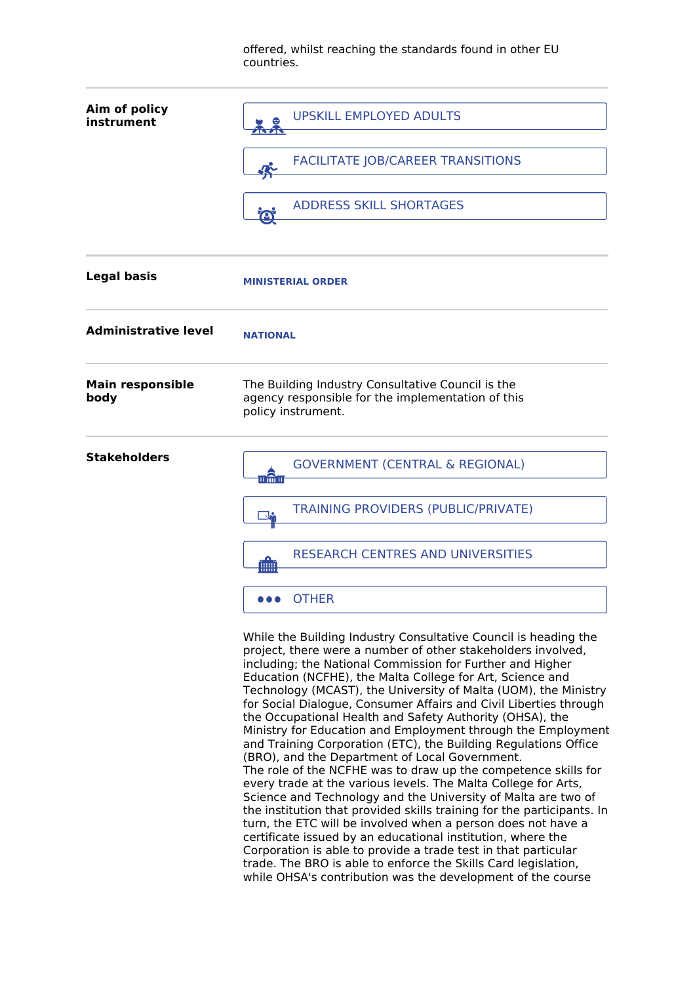offered, whilst reaching the standards found in other EU countries.

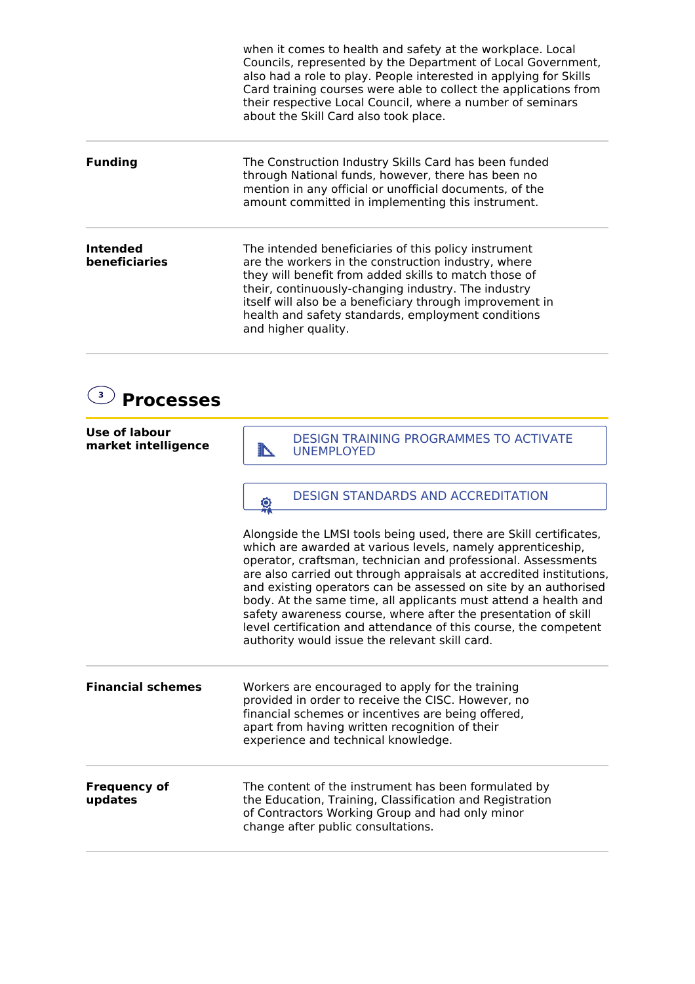when it comes to health and safety at the workplace. Local Councils, represented by the Department of Local Government, also had a role to play. People interested in applying for Skills Card training courses were able to collect the applications from their respective Local Council, where a number of seminars about the Skill Card also took place.

**Funding** The Construction Industry Skills Card has been funded through National funds, however, there has been no mention in any official or unofficial documents, of the amount committed in implementing this instrument.

**Intended beneficiaries** The intended beneficiaries of this policy instrument are the workers in the construction industry, where they will benefit from added skills to match those of their, continuously-changing industry. The industry itself will also be a beneficiary through improvement in health and safety standards, employment conditions and higher quality.

#### **3 Processes**

| Use of labour<br>market intelligence | <b>DESIGN TRAINING PROGRAMMES TO ACTIVATE</b><br><b>UNEMPLOYED</b><br><b>TABLE</b>                                                                                                                                                                                                                                                                                                                                                                                                                                                                                                                      |
|--------------------------------------|---------------------------------------------------------------------------------------------------------------------------------------------------------------------------------------------------------------------------------------------------------------------------------------------------------------------------------------------------------------------------------------------------------------------------------------------------------------------------------------------------------------------------------------------------------------------------------------------------------|
|                                      | DESIGN STANDARDS AND ACCREDITATION<br>욗                                                                                                                                                                                                                                                                                                                                                                                                                                                                                                                                                                 |
|                                      | Alongside the LMSI tools being used, there are Skill certificates,<br>which are awarded at various levels, namely apprenticeship,<br>operator, craftsman, technician and professional. Assessments<br>are also carried out through appraisals at accredited institutions,<br>and existing operators can be assessed on site by an authorised<br>body. At the same time, all applicants must attend a health and<br>safety awareness course, where after the presentation of skill<br>level certification and attendance of this course, the competent<br>authority would issue the relevant skill card. |
| <b>Financial schemes</b>             | Workers are encouraged to apply for the training<br>provided in order to receive the CISC. However, no<br>financial schemes or incentives are being offered,<br>apart from having written recognition of their<br>experience and technical knowledge.                                                                                                                                                                                                                                                                                                                                                   |
| <b>Frequency of</b><br>updates       | The content of the instrument has been formulated by<br>the Education, Training, Classification and Registration<br>of Contractors Working Group and had only minor<br>change after public consultations.                                                                                                                                                                                                                                                                                                                                                                                               |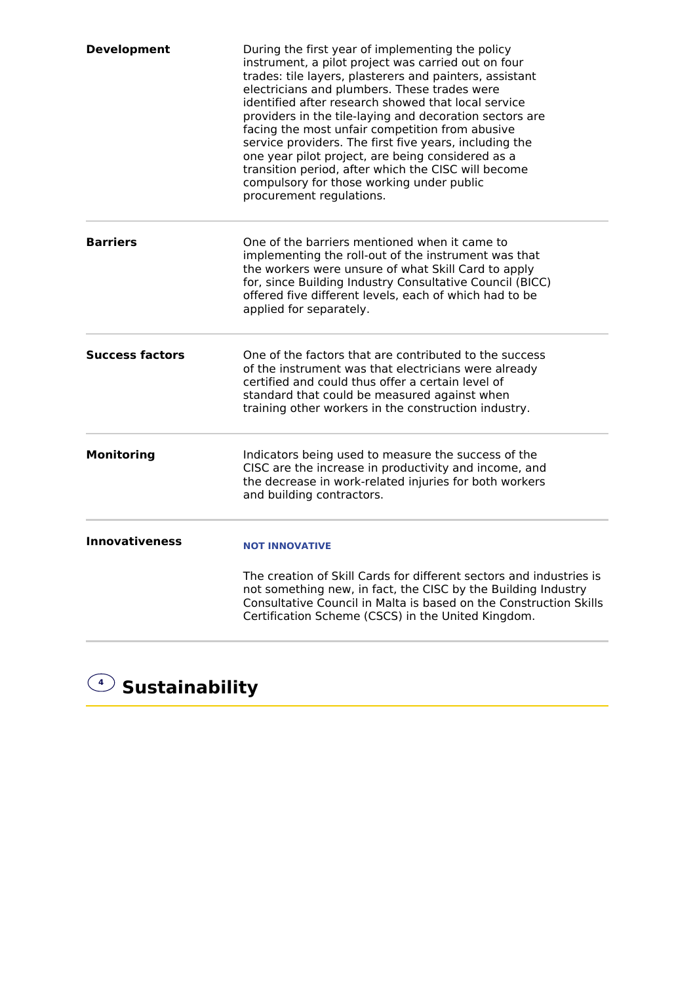| <b>Development</b>     | During the first year of implementing the policy<br>instrument, a pilot project was carried out on four<br>trades: tile layers, plasterers and painters, assistant<br>electricians and plumbers. These trades were<br>identified after research showed that local service<br>providers in the tile-laying and decoration sectors are<br>facing the most unfair competition from abusive<br>service providers. The first five years, including the<br>one year pilot project, are being considered as a<br>transition period, after which the CISC will become<br>compulsory for those working under public<br>procurement regulations. |
|------------------------|----------------------------------------------------------------------------------------------------------------------------------------------------------------------------------------------------------------------------------------------------------------------------------------------------------------------------------------------------------------------------------------------------------------------------------------------------------------------------------------------------------------------------------------------------------------------------------------------------------------------------------------|
| <b>Barriers</b>        | One of the barriers mentioned when it came to<br>implementing the roll-out of the instrument was that<br>the workers were unsure of what Skill Card to apply<br>for, since Building Industry Consultative Council (BICC)<br>offered five different levels, each of which had to be<br>applied for separately.                                                                                                                                                                                                                                                                                                                          |
| <b>Success factors</b> | One of the factors that are contributed to the success<br>of the instrument was that electricians were already<br>certified and could thus offer a certain level of<br>standard that could be measured against when<br>training other workers in the construction industry.                                                                                                                                                                                                                                                                                                                                                            |
| <b>Monitoring</b>      | Indicators being used to measure the success of the<br>CISC are the increase in productivity and income, and<br>the decrease in work-related injuries for both workers<br>and building contractors.                                                                                                                                                                                                                                                                                                                                                                                                                                    |
| <b>Innovativeness</b>  | <b>NOT INNOVATIVE</b><br>The creation of Skill Cards for different sectors and industries is<br>not something new, in fact, the CISC by the Building Industry<br>Consultative Council in Malta is based on the Construction Skills<br>Certification Scheme (CSCS) in the United Kingdom.                                                                                                                                                                                                                                                                                                                                               |

# **<sup>4</sup> Sustainability**